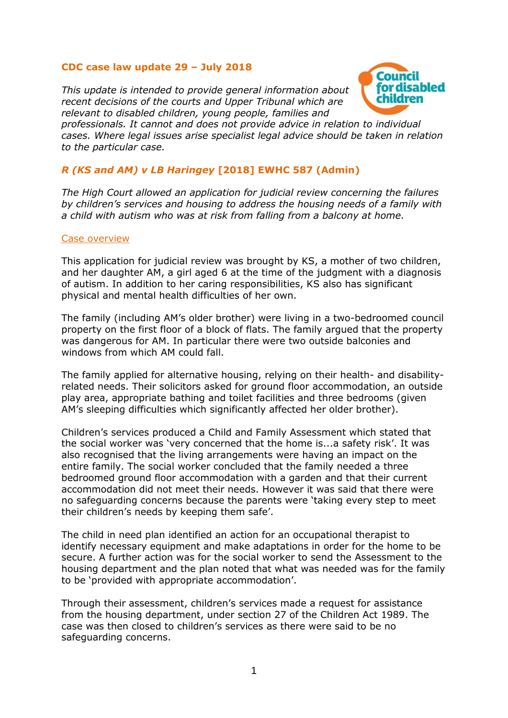## **CDC case law update 29 – July 2018**

*This update is intended to provide general information about recent decisions of the courts and Upper Tribunal which are relevant to disabled children, young people, families and* 



*professionals. It cannot and does not provide advice in relation to individual cases. Where legal issues arise specialist legal advice should be taken in relation to the particular case.*

# *R (KS and AM) v LB Haringey* **[2018] EWHC 587 (Admin)**

*The High Court allowed an application for judicial review concerning the failures by children's services and housing to address the housing needs of a family with a child with autism who was at risk from falling from a balcony at home.*

#### Case overview

This application for judicial review was brought by KS, a mother of two children, and her daughter AM, a girl aged 6 at the time of the judgment with a diagnosis of autism. In addition to her caring responsibilities, KS also has significant physical and mental health difficulties of her own.

The family (including AM's older brother) were living in a two-bedroomed council property on the first floor of a block of flats. The family argued that the property was dangerous for AM. In particular there were two outside balconies and windows from which AM could fall.

The family applied for alternative housing, relying on their health- and disabilityrelated needs. Their solicitors asked for ground floor accommodation, an outside play area, appropriate bathing and toilet facilities and three bedrooms (given AM's sleeping difficulties which significantly affected her older brother).

Children's services produced a Child and Family Assessment which stated that the social worker was 'very concerned that the home is...a safety risk'. It was also recognised that the living arrangements were having an impact on the entire family. The social worker concluded that the family needed a three bedroomed ground floor accommodation with a garden and that their current accommodation did not meet their needs. However it was said that there were no safeguarding concerns because the parents were 'taking every step to meet their children's needs by keeping them safe'.

The child in need plan identified an action for an occupational therapist to identify necessary equipment and make adaptations in order for the home to be secure. A further action was for the social worker to send the Assessment to the housing department and the plan noted that what was needed was for the family to be 'provided with appropriate accommodation'.

Through their assessment, children's services made a request for assistance from the housing department, under section 27 of the Children Act 1989. The case was then closed to children's services as there were said to be no safeguarding concerns.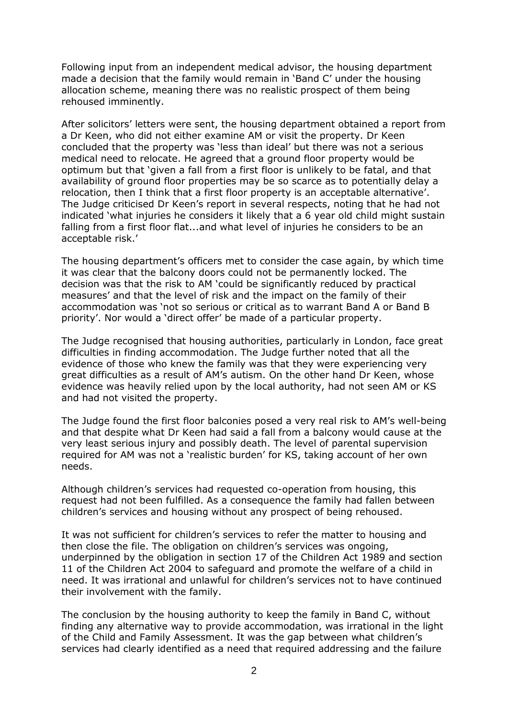Following input from an independent medical advisor, the housing department made a decision that the family would remain in 'Band C' under the housing allocation scheme, meaning there was no realistic prospect of them being rehoused imminently.

After solicitors' letters were sent, the housing department obtained a report from a Dr Keen, who did not either examine AM or visit the property. Dr Keen concluded that the property was 'less than ideal' but there was not a serious medical need to relocate. He agreed that a ground floor property would be optimum but that 'given a fall from a first floor is unlikely to be fatal, and that availability of ground floor properties may be so scarce as to potentially delay a relocation, then I think that a first floor property is an acceptable alternative'. The Judge criticised Dr Keen's report in several respects, noting that he had not indicated 'what injuries he considers it likely that a 6 year old child might sustain falling from a first floor flat...and what level of injuries he considers to be an acceptable risk.'

The housing department's officers met to consider the case again, by which time it was clear that the balcony doors could not be permanently locked. The decision was that the risk to AM 'could be significantly reduced by practical measures' and that the level of risk and the impact on the family of their accommodation was 'not so serious or critical as to warrant Band A or Band B priority'. Nor would a 'direct offer' be made of a particular property.

The Judge recognised that housing authorities, particularly in London, face great difficulties in finding accommodation. The Judge further noted that all the evidence of those who knew the family was that they were experiencing very great difficulties as a result of AM's autism. On the other hand Dr Keen, whose evidence was heavily relied upon by the local authority, had not seen AM or KS and had not visited the property.

The Judge found the first floor balconies posed a very real risk to AM's well-being and that despite what Dr Keen had said a fall from a balcony would cause at the very least serious injury and possibly death. The level of parental supervision required for AM was not a 'realistic burden' for KS, taking account of her own needs.

Although children's services had requested co-operation from housing, this request had not been fulfilled. As a consequence the family had fallen between children's services and housing without any prospect of being rehoused.

It was not sufficient for children's services to refer the matter to housing and then close the file. The obligation on children's services was ongoing, underpinned by the obligation in section 17 of the Children Act 1989 and section 11 of the Children Act 2004 to safeguard and promote the welfare of a child in need. It was irrational and unlawful for children's services not to have continued their involvement with the family.

The conclusion by the housing authority to keep the family in Band C, without finding any alternative way to provide accommodation, was irrational in the light of the Child and Family Assessment. It was the gap between what children's services had clearly identified as a need that required addressing and the failure